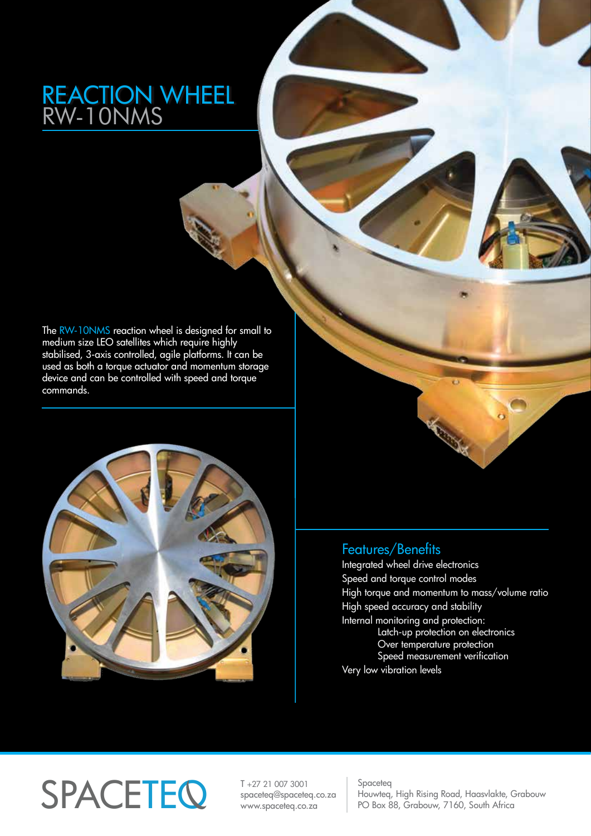## REACTION WHEEL RW-10NMS

The RW-10NMS reaction wheel is designed for small to medium size LEO satellites which require highly stabilised, 3-axis controlled, agile platforms. It can be used as both a torque actuator and momentum storage device and can be controlled with speed and torque commands.



## Features/Benefits

Integrated wheel drive electronics Speed and torque control modes High torque and momentum to mass/volume ratio High speed accuracy and stability Internal monitoring and protection: Latch-up protection on electronics Over temperature protection Speed measurement verification Very low vibration levels

## $\text{SPACE}$   $\text{FQ}$   $\text{F27 21 007 3001}$   $\text{Space}$   $\text{FQ}$   $\text{Space}$   $\text{FQ}$   $\text{Bow}$

T +27 21 007 3001 spaceteq@spaceteq.co.za www.spaceteq.co.za

Houwteq, High Rising Road, Haasvlakte, Grabouw PO Box 88, Grabouw, 7160, South Africa